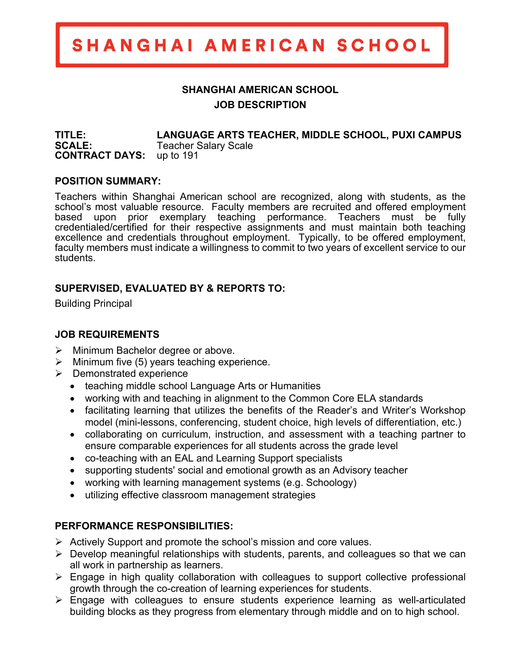# SHANGHAI AMERICAN SCHOOL

## **SHANGHAI AMERICAN SCHOOL JOB DESCRIPTION**

**TITLE: LANGUAGE ARTS TEACHER, MIDDLE SCHOOL, PUXI CAMPUS SCALE:** Teacher Salary Scale **CONTRACT DAYS:** up to 191

#### **POSITION SUMMARY:**

Teachers within Shanghai American school are recognized, along with students, as the school's most valuable resource. Faculty members are recruited and offered employment based upon prior exemplary teaching performance. Teachers must be fully credentialed/certified for their respective assignments and must maintain both teaching excellence and credentials throughout employment. Typically, to be offered employment, faculty members must indicate a willingness to commit to two years of excellent service to our students.

#### **SUPERVISED, EVALUATED BY & REPORTS TO:**

Building Principal

### **JOB REQUIREMENTS**

- $\triangleright$  Minimum Bachelor degree or above.
- $\triangleright$  Minimum five (5) years teaching experience.
- $\triangleright$  Demonstrated experience
	- teaching middle school Language Arts or Humanities
	- working with and teaching in alignment to the Common Core ELA standards
	- facilitating learning that utilizes the benefits of the Reader's and Writer's Workshop model (mini-lessons, conferencing, student choice, high levels of differentiation, etc.)
	- collaborating on curriculum, instruction, and assessment with a teaching partner to ensure comparable experiences for all students across the grade level
	- co-teaching with an EAL and Learning Support specialists
	- supporting students' social and emotional growth as an Advisory teacher
	- working with learning management systems (e.g. Schoology)
	- utilizing effective classroom management strategies

### **PERFORMANCE RESPONSIBILITIES:**

- $\triangleright$  Actively Support and promote the school's mission and core values.
- $\triangleright$  Develop meaningful relationships with students, parents, and colleagues so that we can all work in partnership as learners.
- $\triangleright$  Engage in high quality collaboration with colleagues to support collective professional growth through the co-creation of learning experiences for students.
- $\triangleright$  Engage with colleagues to ensure students experience learning as well-articulated building blocks as they progress from elementary through middle and on to high school.